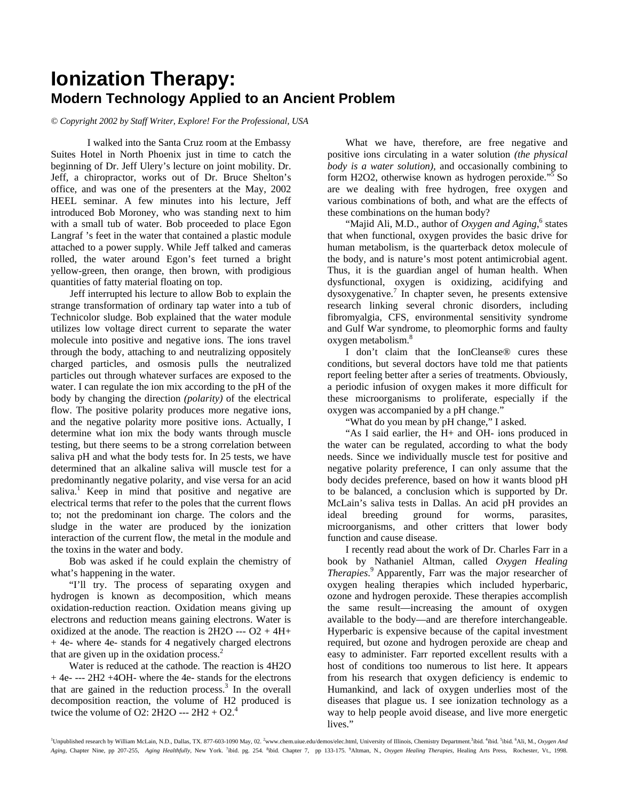## **Ionization Therapy: Modern Technology Applied to an Ancient Problem**

*© Copyright 2002 by Staff Writer, Explore! For the Professional, USA* 

I walked into the Santa Cruz room at the Embassy Suites Hotel in North Phoenix just in time to catch the beginning of Dr. Jeff Ulery's lecture on joint mobility. Dr. Jeff, a chiropractor, works out of Dr. Bruce Shelton's office, and was one of the presenters at the May, 2002 HEEL seminar. A few minutes into his lecture, Jeff introduced Bob Moroney, who was standing next to him with a small tub of water. Bob proceeded to place Egon Langraf 's feet in the water that contained a plastic module attached to a power supply. While Jeff talked and cameras rolled, the water around Egon's feet turned a bright yellow-green, then orange, then brown, with prodigious quantities of fatty material floating on top.

Jeff interrupted his lecture to allow Bob to explain the strange transformation of ordinary tap water into a tub of Technicolor sludge. Bob explained that the water module utilizes low voltage direct current to separate the water molecule into positive and negative ions. The ions travel through the body, attaching to and neutralizing oppositely charged particles, and osmosis pulls the neutralized particles out through whatever surfaces are exposed to the water. I can regulate the ion mix according to the pH of the body by changing the direction *(polarity)* of the electrical flow. The positive polarity produces more negative ions, and the negative polarity more positive ions. Actually, I determine what ion mix the body wants through muscle testing, but there seems to be a strong correlation between saliva pH and what the body tests for. In 25 tests, we have determined that an alkaline saliva will muscle test for a predominantly negative polarity, and vise versa for an acid saliva.<sup>1</sup> Keep in mind that positive and negative are electrical terms that refer to the poles that the current flows to; not the predominant ion charge. The colors and the sludge in the water are produced by the ionization interaction of the current flow, the metal in the module and the toxins in the water and body.

Bob was asked if he could explain the chemistry of what's happening in the water.

"I'll try. The process of separating oxygen and hydrogen is known as decomposition, which means oxidation-reduction reaction. Oxidation means giving up electrons and reduction means gaining electrons. Water is oxidized at the anode. The reaction is  $2H2O$  ---  $O2 + 4H+$ + 4e- where 4e- stands for 4 negatively charged electrons that are given up in the oxidation process. $<sup>2</sup>$ </sup>

Water is reduced at the cathode. The reaction is 4H2O + 4e- --- 2H2 +4OH- where the 4e- stands for the electrons that are gained in the reduction process. $3$  In the overall decomposition reaction, the volume of H2 produced is twice the volume of O2:  $2H2O$  ---  $2H2 + O2$ .<sup>4</sup>

What we have, therefore, are free negative and positive ions circulating in a water solution *(the physical body is a water solution),* and occasionally combining to form H2O2, otherwise known as hydrogen peroxide."5 So are we dealing with free hydrogen, free oxygen and various combinations of both, and what are the effects of these combinations on the human body?

"Majid Ali, M.D., author of *Oxygen and Aging*,<sup>6</sup> states that when functional, oxygen provides the basic drive for human metabolism, is the quarterback detox molecule of the body, and is nature's most potent antimicrobial agent. Thus, it is the guardian angel of human health. When dysfunctional, oxygen is oxidizing, acidifying and dysoxygenative.<sup>7</sup> In chapter seven, he presents extensive research linking several chronic disorders, including fibromyalgia, CFS, environmental sensitivity syndrome and Gulf War syndrome, to pleomorphic forms and faulty oxygen metabolism.<sup>8</sup>

I don't claim that the IonCleanse® cures these conditions, but several doctors have told me that patients report feeling better after a series of treatments. Obviously, a periodic infusion of oxygen makes it more difficult for these microorganisms to proliferate, especially if the oxygen was accompanied by a pH change."

"What do you mean by pH change," I asked.

"As I said earlier, the H+ and OH- ions produced in the water can be regulated, according to what the body needs. Since we individually muscle test for positive and negative polarity preference, I can only assume that the body decides preference, based on how it wants blood pH to be balanced, a conclusion which is supported by Dr. McLain's saliva tests in Dallas. An acid pH provides an ideal breeding ground for worms, parasites, microorganisms, and other critters that lower body function and cause disease.

I recently read about the work of Dr. Charles Farr in a book by Nathaniel Altman, called *Oxygen Healing Therapies*. 9 Apparently, Farr was the major researcher of oxygen healing therapies which included hyperbaric, ozone and hydrogen peroxide. These therapies accomplish the same result—increasing the amount of oxygen available to the body—and are therefore interchangeable. Hyperbaric is expensive because of the capital investment required, but ozone and hydrogen peroxide are cheap and easy to administer. Farr reported excellent results with a host of conditions too numerous to list here. It appears from his research that oxygen deficiency is endemic to Humankind, and lack of oxygen underlies most of the diseases that plague us. I see ionization technology as a way to help people avoid disease, and live more energetic lives."

<sup>1</sup>Unpublished research by William McLain, N.D., Dallas, TX. 877-603-1090 May, 02. <sup>2</sup>www.chem.uiue.edu/demos/elec.html, University of Illinois, Chemistry Department.<sup>3</sup>ibid. <sup>4</sup>ibid. <sup>5</sup>ibid. <sup>6</sup>ibid. <sup>6</sup>ibid. <sup>6</sup>ibid. <sup>6</sup> Aging, Chapter Nine, pp 207-255, Aging Healthfully, New York. <sup>7</sup>ibid. pg. 254. <sup>8</sup>ibid. Chapter 7, pp 133-175. <sup>9</sup>Altman, N., *Oxygen Healing Therapies*, Healing Arts Press, Rochester, Vt., 1998.